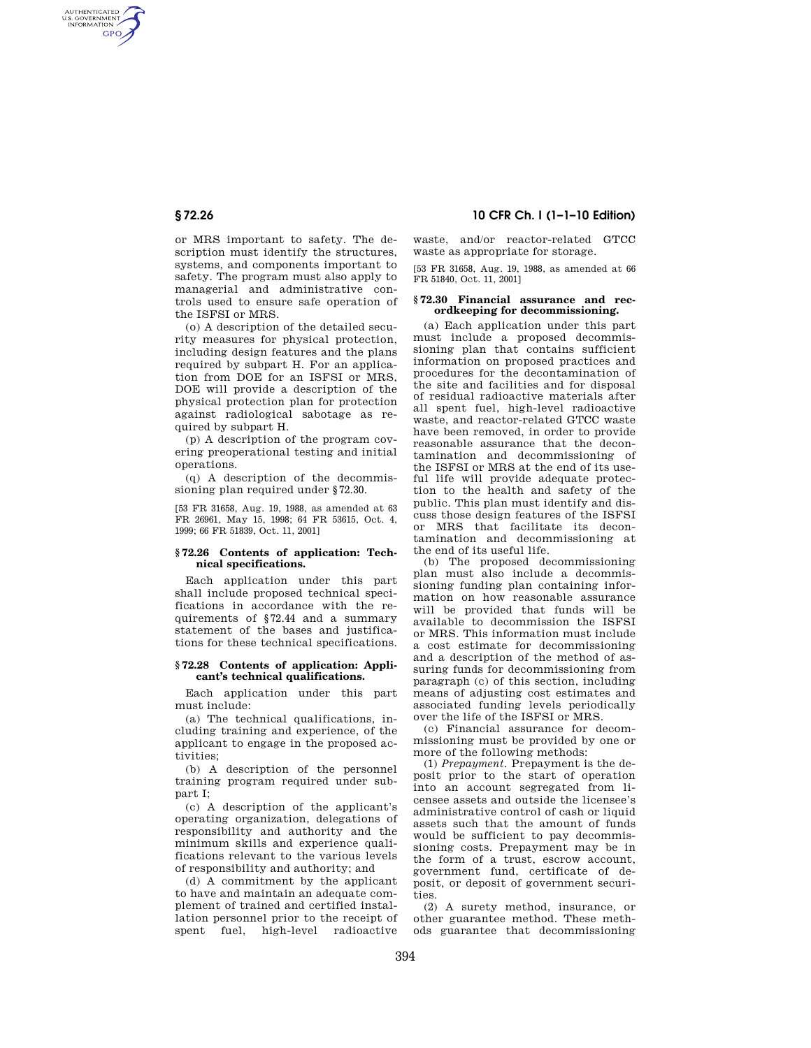AUTHENTICATED<br>U.S. GOVERNMENT<br>INFORMATION **GPO** 

> or MRS important to safety. The description must identify the structures, systems, and components important to safety. The program must also apply to managerial and administrative controls used to ensure safe operation of the ISFSI or MRS.

> (o) A description of the detailed security measures for physical protection, including design features and the plans required by subpart H. For an application from DOE for an ISFSI or MRS, DOE will provide a description of the physical protection plan for protection against radiological sabotage as required by subpart H.

(p) A description of the program covering preoperational testing and initial operations.

(q) A description of the decommissioning plan required under §72.30.

[53 FR 31658, Aug. 19, 1988, as amended at 63 FR 26961, May 15, 1998; 64 FR 53615, Oct. 4, 1999; 66 FR 51839, Oct. 11, 2001]

## **§ 72.26 Contents of application: Technical specifications.**

Each application under this part shall include proposed technical specifications in accordance with the requirements of §72.44 and a summary statement of the bases and justifications for these technical specifications.

## **§ 72.28 Contents of application: Applicant's technical qualifications.**

Each application under this part must include:

(a) The technical qualifications, including training and experience, of the applicant to engage in the proposed activities;

(b) A description of the personnel training program required under subpart I;

(c) A description of the applicant's operating organization, delegations of responsibility and authority and the minimum skills and experience qualifications relevant to the various levels of responsibility and authority; and

(d) A commitment by the applicant to have and maintain an adequate complement of trained and certified installation personnel prior to the receipt of spent fuel, high-level radioactive

# **§ 72.26 10 CFR Ch. I (1–1–10 Edition)**

waste, and/or reactor-related GTCC waste as appropriate for storage.

[53 FR 31658, Aug. 19, 1988, as amended at 66 FR 51840, Oct. 11, 2001]

### **§ 72.30 Financial assurance and recordkeeping for decommissioning.**

(a) Each application under this part must include a proposed decommissioning plan that contains sufficient information on proposed practices and procedures for the decontamination of the site and facilities and for disposal of residual radioactive materials after all spent fuel, high-level radioactive waste, and reactor-related GTCC waste have been removed, in order to provide reasonable assurance that the decontamination and decommissioning of the ISFSI or MRS at the end of its useful life will provide adequate protection to the health and safety of the public. This plan must identify and discuss those design features of the ISFSI or MRS that facilitate its decontamination and decommissioning at the end of its useful life.

(b) The proposed decommissioning plan must also include a decommissioning funding plan containing information on how reasonable assurance will be provided that funds will be available to decommission the ISFSI or MRS. This information must include a cost estimate for decommissioning and a description of the method of assuring funds for decommissioning from paragraph (c) of this section, including means of adjusting cost estimates and associated funding levels periodically over the life of the ISFSI or MRS.

(c) Financial assurance for decommissioning must be provided by one or more of the following methods:

(1) *Prepayment.* Prepayment is the deposit prior to the start of operation into an account segregated from licensee assets and outside the licensee's administrative control of cash or liquid assets such that the amount of funds would be sufficient to pay decommissioning costs. Prepayment may be in the form of a trust, escrow account, government fund, certificate of deposit, or deposit of government securities.

(2) A surety method, insurance, or other guarantee method. These methods guarantee that decommissioning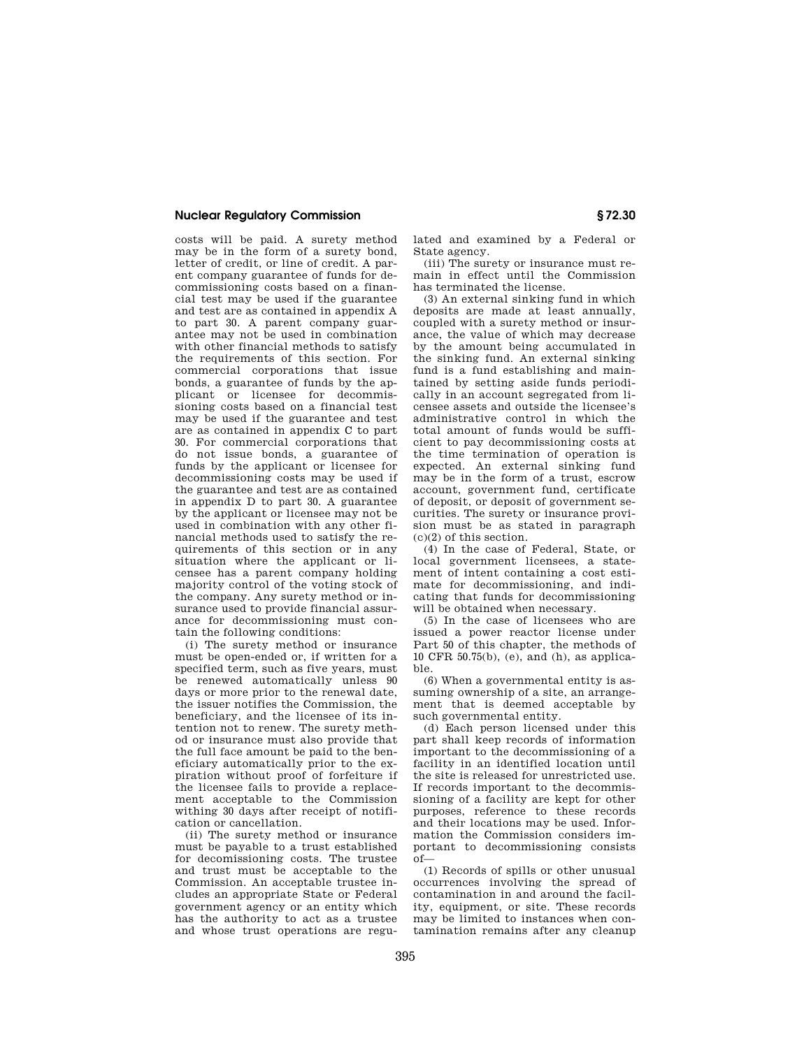# **Nuclear Regulatory Commission § 72.30**

costs will be paid. A surety method may be in the form of a surety bond, letter of credit, or line of credit. A parent company guarantee of funds for decommissioning costs based on a financial test may be used if the guarantee and test are as contained in appendix A to part 30. A parent company guarantee may not be used in combination with other financial methods to satisfy the requirements of this section. For commercial corporations that issue bonds, a guarantee of funds by the applicant or licensee for decommissioning costs based on a financial test may be used if the guarantee and test are as contained in appendix C to part 30. For commercial corporations that do not issue bonds, a guarantee of funds by the applicant or licensee for decommissioning costs may be used if the guarantee and test are as contained in appendix D to part 30. A guarantee by the applicant or licensee may not be used in combination with any other financial methods used to satisfy the requirements of this section or in any situation where the applicant or licensee has a parent company holding majority control of the voting stock of the company. Any surety method or insurance used to provide financial assurance for decommissioning must contain the following conditions:

(i) The surety method or insurance must be open-ended or, if written for a specified term, such as five years, must be renewed automatically unless 90 days or more prior to the renewal date, the issuer notifies the Commission, the beneficiary, and the licensee of its intention not to renew. The surety method or insurance must also provide that the full face amount be paid to the beneficiary automatically prior to the expiration without proof of forfeiture if the licensee fails to provide a replacement acceptable to the Commission withing 30 days after receipt of notification or cancellation.

(ii) The surety method or insurance must be payable to a trust established for decomissioning costs. The trustee and trust must be acceptable to the Commission. An acceptable trustee includes an appropriate State or Federal government agency or an entity which has the authority to act as a trustee and whose trust operations are regulated and examined by a Federal or State agency.

(iii) The surety or insurance must remain in effect until the Commission has terminated the license.

(3) An external sinking fund in which deposits are made at least annually, coupled with a surety method or insurance, the value of which may decrease by the amount being accumulated in the sinking fund. An external sinking fund is a fund establishing and maintained by setting aside funds periodically in an account segregated from licensee assets and outside the licensee's administrative control in which the total amount of funds would be sufficient to pay decommissioning costs at the time termination of operation is expected. An external sinking fund may be in the form of a trust, escrow account, government fund, certificate of deposit, or deposit of government securities. The surety or insurance provision must be as stated in paragraph (c)(2) of this section.

(4) In the case of Federal, State, or local government licensees, a statement of intent containing a cost estimate for decommissioning, and indicating that funds for decommissioning will be obtained when necessary.

(5) In the case of licensees who are issued a power reactor license under Part 50 of this chapter, the methods of 10 CFR 50.75(b), (e), and (h), as applicable.

(6) When a governmental entity is assuming ownership of a site, an arrangement that is deemed acceptable by such governmental entity.

(d) Each person licensed under this part shall keep records of information important to the decommissioning of a facility in an identified location until the site is released for unrestricted use. If records important to the decommissioning of a facility are kept for other purposes, reference to these records and their locations may be used. Information the Commission considers important to decommissioning consists of—

(1) Records of spills or other unusual occurrences involving the spread of contamination in and around the facility, equipment, or site. These records may be limited to instances when contamination remains after any cleanup